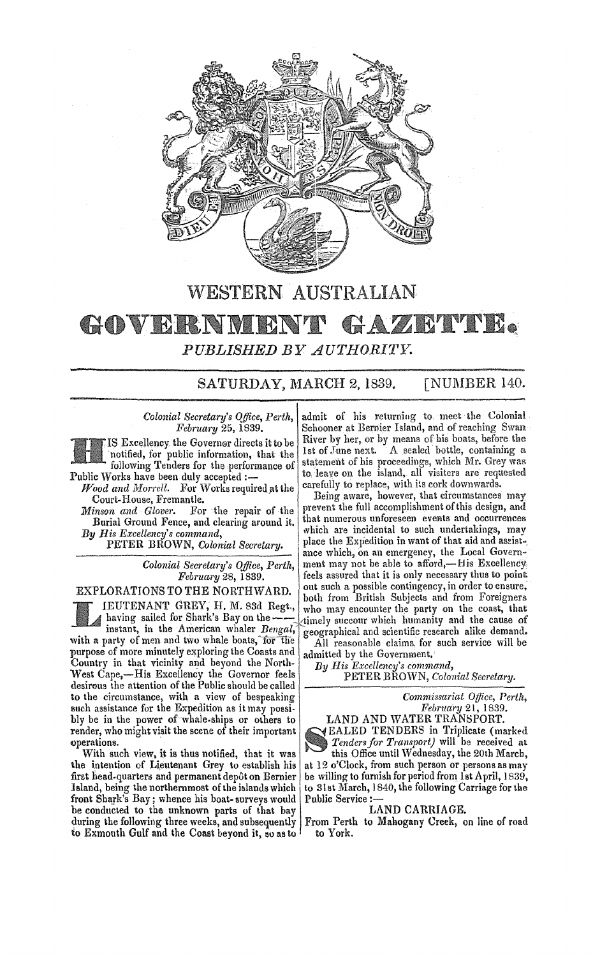

## WESTERN AUSTRALIAN

## GOVERNMENT GAZETTE *PUBLISHED BY AU'l'HORITY.*

### SATURDAY, MARCH 2, 1839. [NUMBER 140.

*Wood and Morrell.* For Works required at the Court-House, Fremantle. **Example 2014** Being aware, however, that circumstances may

Burial Ground Fence, and clearing around it.

IEUTENANT GREY, H. M. 83d Regt.,<br>
having sailed for Shark's Bay on the mistant, in the American whaler *Bengal*, having sailed for Shark's Bay on the--

with a party of men and two whale boats, for the purpose of more minutely exploring the Coasts and Country in that vicinity and beyond the North- West Cape,-His Excellency the Governor feels desirous the attention of the Public should be called to the circumstance, with a view of bespeaking such assistance for the Expedition as it may possibly be in the power of whale-ships or olhers to render, who might visit the scene of their important operations. .

With such view. it is thus notified, that it was the intention of Lieutenant Grey to establish his first head-quarters and permanent depôt on Bernier Island, being the northernmost of the iblands which front Shark's Bay; whence his boat-surveys would be conducted to the unknown parts of that bay during the following three weeks, and subsequently to Exmouth Gulf and the Coast beyond it, so as to

*Colonial Secretary's Office, Perth, admit of his returning to meet the Colonial February 25, 1839.* Schooner at Bernier Island, and of reaching Swan Schooner at Bernier Island, and of reaching Swan IS Excellency the Governor directs it to be River by her, or by means of his boats, before the for public information, that the 1st of June next. A sealed bottle, containing a notified, for public information, that the  $\frac{1}{2}$ following Tenders for the performance of statement of his proceedings, which Mr. Grey was Public Works have been duly accepted :to leave on the island, all visiters are requested<br>carefully to replace, with its cork downwards.

*Minson and Glover.* For the repair of the prevent the full accomplishment of this design, and<br>Burial Ground Fence and clearing around it *By His Excellency's command,*<br>
PETER BROWN, Colonial Secretary. PECTER BROWN, Colonial Secretary. ance which, on an emergency, the Local Govern-*Colonial Secretary's Office, Perth,* ment may not be able to afford,—His Excellency,<br>February 28, 1839. [feels assured that it is only necessary thus to point *feels assured that it is only necessary thus to point* out such a possible contingency, in order to ensure, EXPLORATIONS TO THE NORTHWARD. Out such a possible contingency, in order to ensure,<br> **EXPLORATIONS TO THE NORTHWARD.** both from British Subjects and from Foreigners<br> **EXPLORATIONS TO THE NORTHWARD.**  $\begin{bmatrix} \text{out such a possible continuous and from Foreigners}$ who may encounter the party on the coast, that timely succour which humanity and the cause of geographical and scientific research alike demand. All reasonable claims. for such service will be

admitted by the Government.

*By His Excellency's command,* 

PETER BROWN, *Colonial Secretary.* 

*Commissariat 0t/lce, Perth, February* 21, 1839.

LAND AND WATER TRANSPORT. EALED TENDERS in Triplicate (marked Tenders for Transport) will be received at this Office until Wednesday, the 20th March, at 12 o'Clock. from such person or persons as may be willing to furnish for period from 1st April, 1839, to 31st March, 1840, the following Carriage for the Public Service:

#### LAND CARRIAGE.

From Perth to Mahogany Creek, on line of road to York.